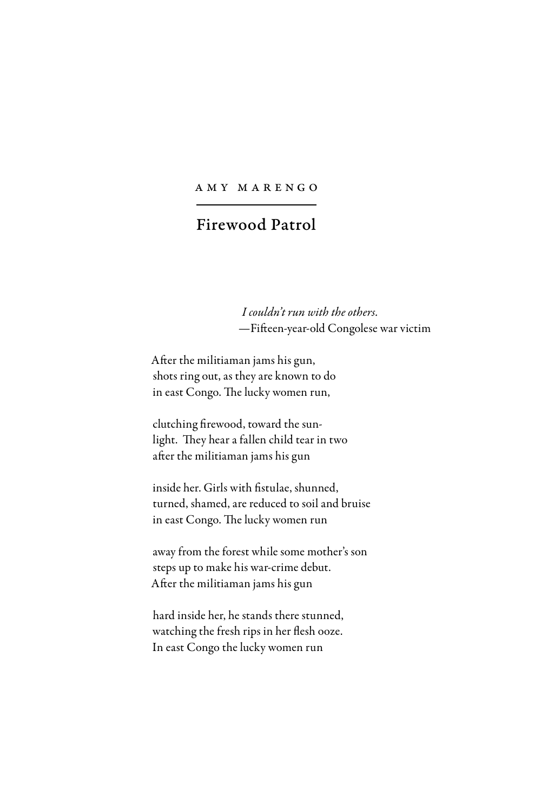## Amy Marengo

## Firewood Patrol

*I couldn't run with the others.* —Fifteen-year-old Congolese war victim

After the militiaman jams his gun, shots ring out, as they are known to do in east Congo. The lucky women run,

clutching firewood, toward the sunlight. They hear a fallen child tear in two after the militiaman jams his gun

inside her. Girls with fistulae, shunned, turned, shamed, are reduced to soil and bruise in east Congo. The lucky women run

away from the forest while some mother's son steps up to make his war-crime debut. After the militiaman jams his gun

hard inside her, he stands there stunned, watching the fresh rips in her flesh ooze. In east Congo the lucky women run